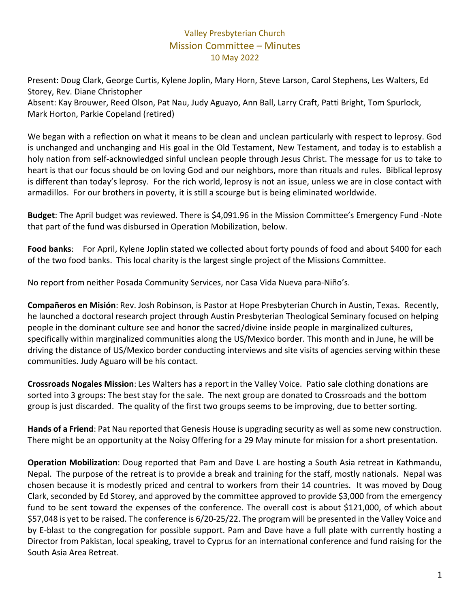## Valley Presbyterian Church Mission Committee – Minutes 10 May 2022

Present: Doug Clark, George Curtis, Kylene Joplin, Mary Horn, Steve Larson, Carol Stephens, Les Walters, Ed Storey, Rev. Diane Christopher

Absent: Kay Brouwer, Reed Olson, Pat Nau, Judy Aguayo, Ann Ball, Larry Craft, Patti Bright, Tom Spurlock, Mark Horton, Parkie Copeland (retired)

We began with a reflection on what it means to be clean and unclean particularly with respect to leprosy. God is unchanged and unchanging and His goal in the Old Testament, New Testament, and today is to establish a holy nation from self-acknowledged sinful unclean people through Jesus Christ. The message for us to take to heart is that our focus should be on loving God and our neighbors, more than rituals and rules. Biblical leprosy is different than today's leprosy. For the rich world, leprosy is not an issue, unless we are in close contact with armadillos. For our brothers in poverty, it is still a scourge but is being eliminated worldwide.

**Budget**: The April budget was reviewed. There is \$4,091.96 in the Mission Committee's Emergency Fund -Note that part of the fund was disbursed in Operation Mobilization, below.

**Food banks**: For April, Kylene Joplin stated we collected about forty pounds of food and about \$400 for each of the two food banks. This local charity is the largest single project of the Missions Committee.

No report from neither Posada Community Services, nor Casa Vida Nueva para-Niño's.

**Compañeros en Misión**: Rev. Josh Robinson, is Pastor at Hope Presbyterian Church in Austin, Texas. Recently, he launched a doctoral research project through Austin Presbyterian Theological Seminary focused on helping people in the dominant culture see and honor the sacred/divine inside people in marginalized cultures, specifically within marginalized communities along the US/Mexico border. This month and in June, he will be driving the distance of US/Mexico border conducting interviews and site visits of agencies serving within these communities. Judy Aguaro will be his contact.

**Crossroads Nogales Mission**: Les Walters has a report in the Valley Voice. Patio sale clothing donations are sorted into 3 groups: The best stay for the sale. The next group are donated to Crossroads and the bottom group is just discarded. The quality of the first two groups seems to be improving, due to better sorting.

**Hands of a Friend**: Pat Nau reported that Genesis House is upgrading security as well as some new construction. There might be an opportunity at the Noisy Offering for a 29 May minute for mission for a short presentation.

**Operation Mobilization**: Doug reported that Pam and Dave L are hosting a South Asia retreat in Kathmandu, Nepal. The purpose of the retreat is to provide a break and training for the staff, mostly nationals. Nepal was chosen because it is modestly priced and central to workers from their 14 countries. It was moved by Doug Clark, seconded by Ed Storey, and approved by the committee approved to provide \$3,000 from the emergency fund to be sent toward the expenses of the conference. The overall cost is about \$121,000, of which about \$57,048 is yet to be raised. The conference is 6/20-25/22. The program will be presented in the Valley Voice and by E-blast to the congregation for possible support. Pam and Dave have a full plate with currently hosting a Director from Pakistan, local speaking, travel to Cyprus for an international conference and fund raising for the South Asia Area Retreat.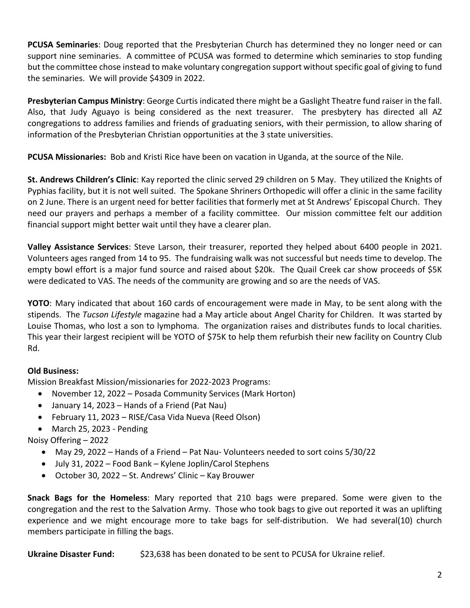**PCUSA Seminaries**: Doug reported that the Presbyterian Church has determined they no longer need or can support nine seminaries. A committee of PCUSA was formed to determine which seminaries to stop funding but the committee chose instead to make voluntary congregation support without specific goal of giving to fund the seminaries. We will provide \$4309 in 2022.

**Presbyterian Campus Ministry**: George Curtis indicated there might be a Gaslight Theatre fund raiser in the fall. Also, that Judy Aguayo is being considered as the next treasurer. The presbytery has directed all AZ congregations to address families and friends of graduating seniors, with their permission, to allow sharing of information of the Presbyterian Christian opportunities at the 3 state universities.

**PCUSA Missionaries:** Bob and Kristi Rice have been on vacation in Uganda, at the source of the Nile.

**St. Andrews Children's Clinic**: Kay reported the clinic served 29 children on 5 May. They utilized the Knights of Pyphias facility, but it is not well suited. The Spokane Shriners Orthopedic will offer a clinic in the same facility on 2 June. There is an urgent need for better facilities that formerly met at St Andrews' Episcopal Church. They need our prayers and perhaps a member of a facility committee. Our mission committee felt our addition financial support might better wait until they have a clearer plan.

**Valley Assistance Services**: Steve Larson, their treasurer, reported they helped about 6400 people in 2021. Volunteers ages ranged from 14 to 95. The fundraising walk was not successful but needs time to develop. The empty bowl effort is a major fund source and raised about \$20k. The Quail Creek car show proceeds of \$5K were dedicated to VAS. The needs of the community are growing and so are the needs of VAS.

**YOTO**: Mary indicated that about 160 cards of encouragement were made in May, to be sent along with the stipends. The *Tucson Lifestyle* magazine had a May article about Angel Charity for Children. It was started by Louise Thomas, who lost a son to lymphoma. The organization raises and distributes funds to local charities. This year their largest recipient will be YOTO of \$75K to help them refurbish their new facility on Country Club Rd.

## **Old Business:**

Mission Breakfast Mission/missionaries for 2022-2023 Programs:

- November 12, 2022 Posada Community Services (Mark Horton)
- January 14, 2023 Hands of a Friend (Pat Nau)
- February 11, 2023 RISE/Casa Vida Nueva (Reed Olson)
- March 25, 2023 Pending

Noisy Offering – 2022

- May 29, 2022 Hands of a Friend Pat Nau- Volunteers needed to sort coins 5/30/22
- July 31, 2022 Food Bank Kylene Joplin/Carol Stephens
- October 30, 2022 St. Andrews' Clinic Kay Brouwer

**Snack Bags for the Homeless**: Mary reported that 210 bags were prepared. Some were given to the congregation and the rest to the Salvation Army. Those who took bags to give out reported it was an uplifting experience and we might encourage more to take bags for self-distribution. We had several(10) church members participate in filling the bags.

**Ukraine Disaster Fund:** \$23,638 has been donated to be sent to PCUSA for Ukraine relief.